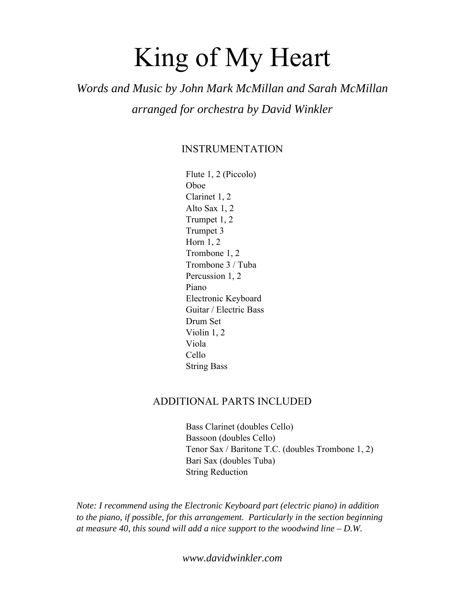# King of My Heart

*Words and Music by John Mark McMillan and Sarah McMillan arranged for orchestra by David Winkler*

### INSTRUMENTATION

Flute 1, 2 (Piccolo) Oboe Clarinet 1, 2 Alto Sax 1, 2 Trumpet 1, 2 Trumpet 3 Horn 1, 2 Trombone 1, 2 Trombone 3 / Tuba Percussion 1, 2 Piano Electronic Keyboard Guitar / Electric Bass Drum Set Violin 1, 2 Viola Cello String Bass

#### ADDITIONAL PARTS INCLUDED

Bass Clarinet (doubles Cello) Bassoon (doubles Cello) Tenor Sax / Baritone T.C. (doubles Trombone 1, 2) Bari Sax (doubles Tuba) String Reduction

*Note: I recommend using the Electronic Keyboard part (electric piano) in addition to the piano, if possible, for this arrangement. Particularly in the section beginning at measure 40, this sound will add a nice support to the woodwind line – D.W.*

*www.davidwinkler.com*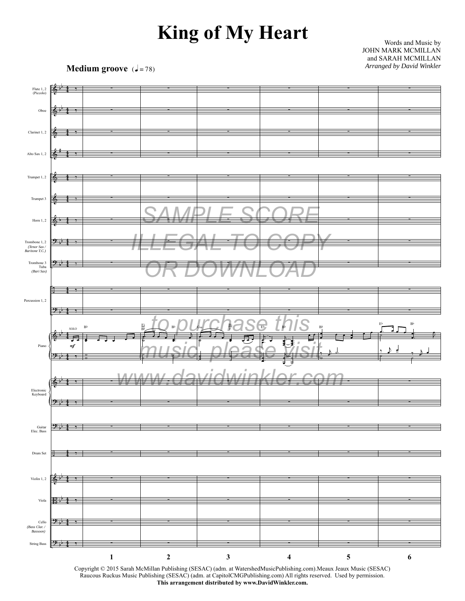# **King of My Heart** Words and Music by

JOHN MARK MCMILLAN and SARAH MCMILLAN *Arranged by David Winkler*

**Medium groove**  $\left(\frac{1}{2} = 78\right)$ 



Copyright © 2015 Sarah McMillan Publishing (SESAC) (adm. at WatershedMusicPublishing.com).Meaux Jeaux Music (SESAC) Raucous Ruckus Music Publishing (SESAC) (adm. at CapitolCMGPublishing.com) All rights reserved. Used by permission. **This arrangement distributed by www.DavidWinkler.com.**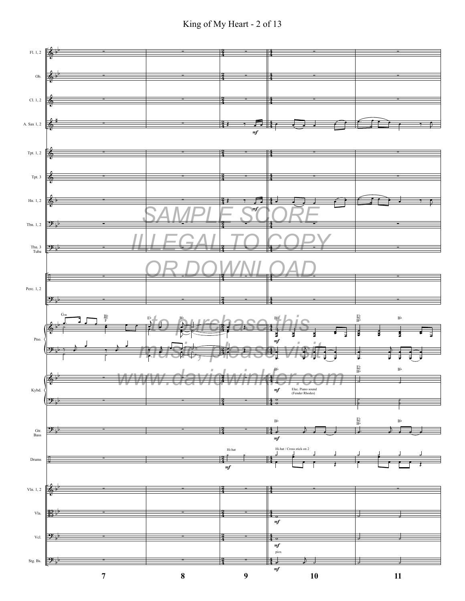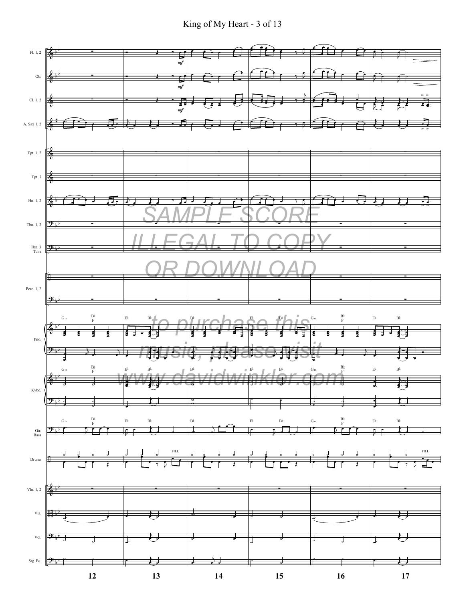King of My Heart - 3 of 13

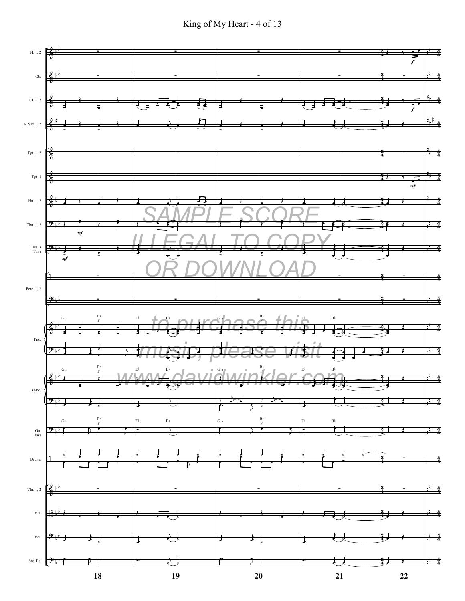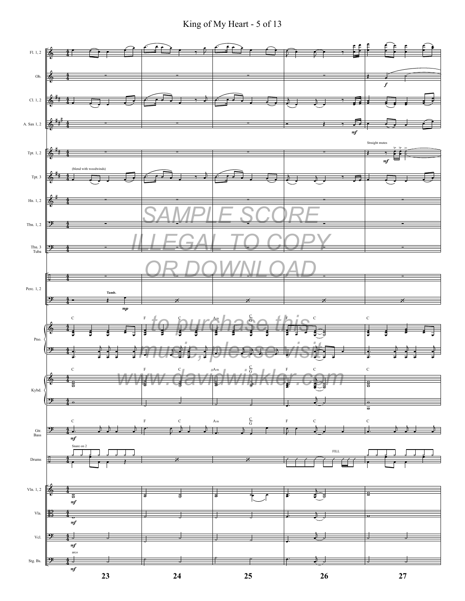King of My Heart - 5 of 13

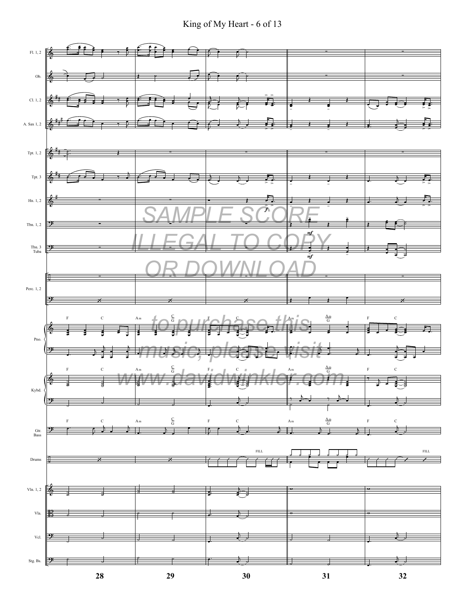King of My Heart - 6 of 13

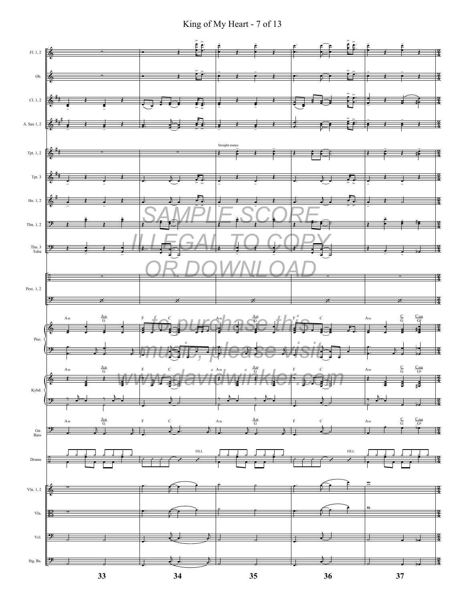King of My Heart - 7 of 13

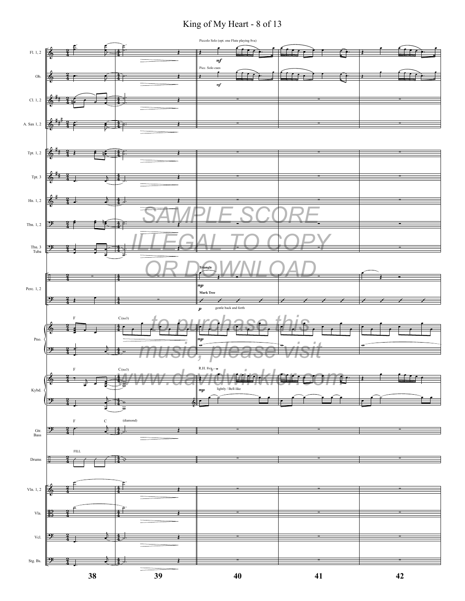### King of My Heart - 8 of 13

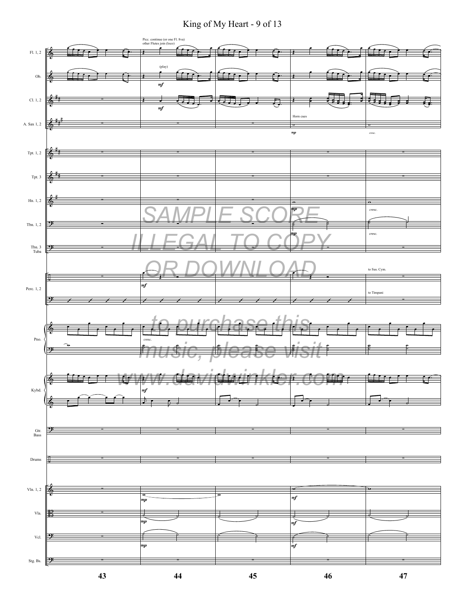## King of My Heart - 9 of 13

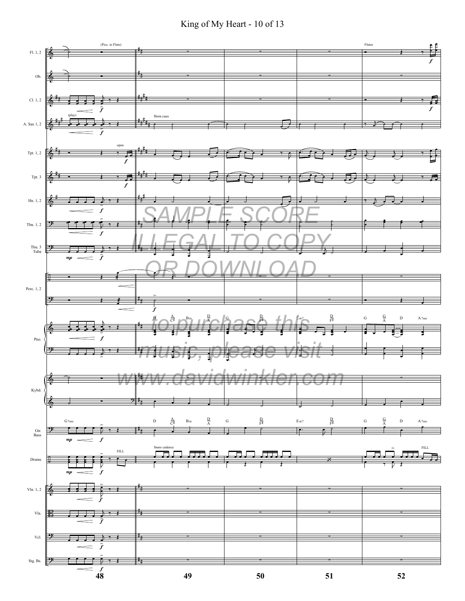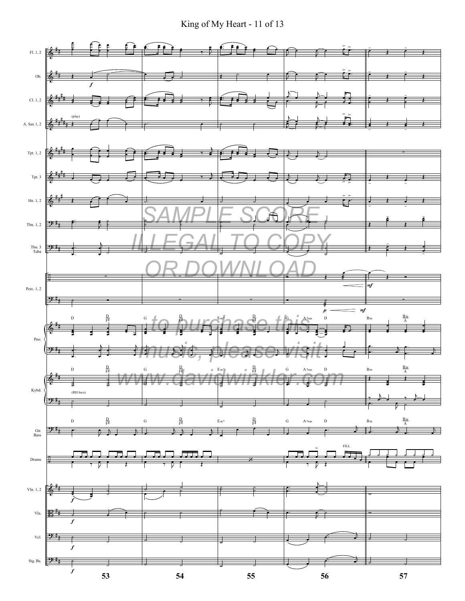King of My Heart - 11 of 13

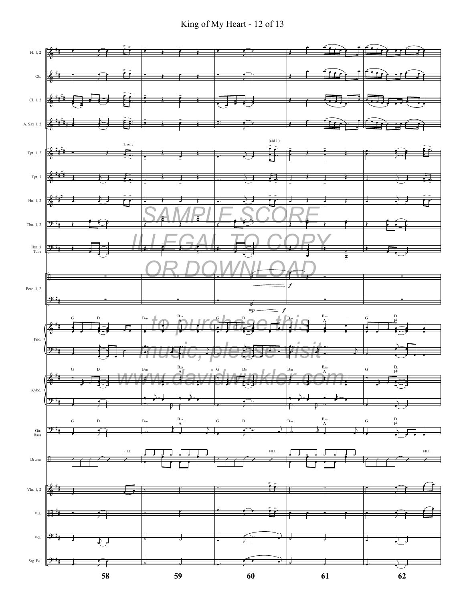